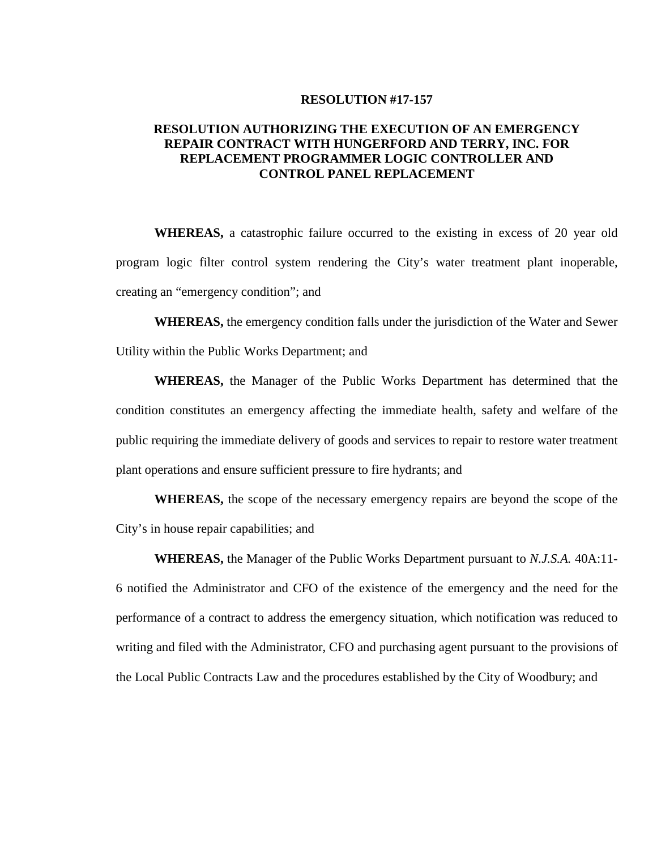#### **RESOLUTION #17-157**

## **RESOLUTION AUTHORIZING THE EXECUTION OF AN EMERGENCY REPAIR CONTRACT WITH HUNGERFORD AND TERRY, INC. FOR REPLACEMENT PROGRAMMER LOGIC CONTROLLER AND CONTROL PANEL REPLACEMENT**

**WHEREAS,** a catastrophic failure occurred to the existing in excess of 20 year old program logic filter control system rendering the City's water treatment plant inoperable, creating an "emergency condition"; and

**WHEREAS,** the emergency condition falls under the jurisdiction of the Water and Sewer Utility within the Public Works Department; and

**WHEREAS,** the Manager of the Public Works Department has determined that the condition constitutes an emergency affecting the immediate health, safety and welfare of the public requiring the immediate delivery of goods and services to repair to restore water treatment plant operations and ensure sufficient pressure to fire hydrants; and

**WHEREAS,** the scope of the necessary emergency repairs are beyond the scope of the City's in house repair capabilities; and

**WHEREAS,** the Manager of the Public Works Department pursuant to *N.J.S.A.* 40A:11- 6 notified the Administrator and CFO of the existence of the emergency and the need for the performance of a contract to address the emergency situation, which notification was reduced to writing and filed with the Administrator, CFO and purchasing agent pursuant to the provisions of the Local Public Contracts Law and the procedures established by the City of Woodbury; and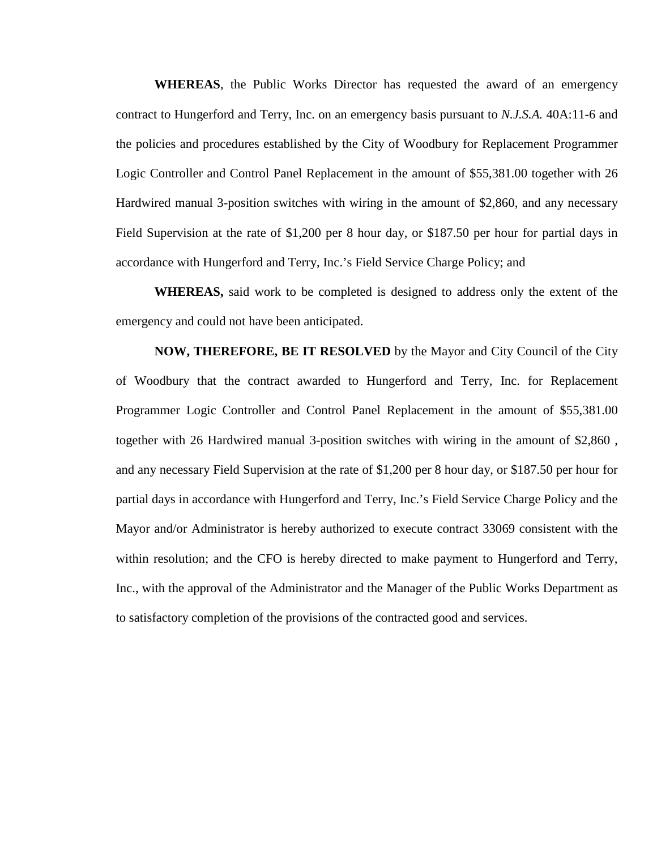**WHEREAS**, the Public Works Director has requested the award of an emergency contract to Hungerford and Terry, Inc. on an emergency basis pursuant to *N.J.S.A.* 40A:11-6 and the policies and procedures established by the City of Woodbury for Replacement Programmer Logic Controller and Control Panel Replacement in the amount of \$55,381.00 together with 26 Hardwired manual 3-position switches with wiring in the amount of \$2,860, and any necessary Field Supervision at the rate of \$1,200 per 8 hour day, or \$187.50 per hour for partial days in accordance with Hungerford and Terry, Inc.'s Field Service Charge Policy; and

**WHEREAS,** said work to be completed is designed to address only the extent of the emergency and could not have been anticipated.

**NOW, THEREFORE, BE IT RESOLVED** by the Mayor and City Council of the City of Woodbury that the contract awarded to Hungerford and Terry, Inc. for Replacement Programmer Logic Controller and Control Panel Replacement in the amount of \$55,381.00 together with 26 Hardwired manual 3-position switches with wiring in the amount of \$2,860 , and any necessary Field Supervision at the rate of \$1,200 per 8 hour day, or \$187.50 per hour for partial days in accordance with Hungerford and Terry, Inc.'s Field Service Charge Policy and the Mayor and/or Administrator is hereby authorized to execute contract 33069 consistent with the within resolution; and the CFO is hereby directed to make payment to Hungerford and Terry, Inc., with the approval of the Administrator and the Manager of the Public Works Department as to satisfactory completion of the provisions of the contracted good and services.